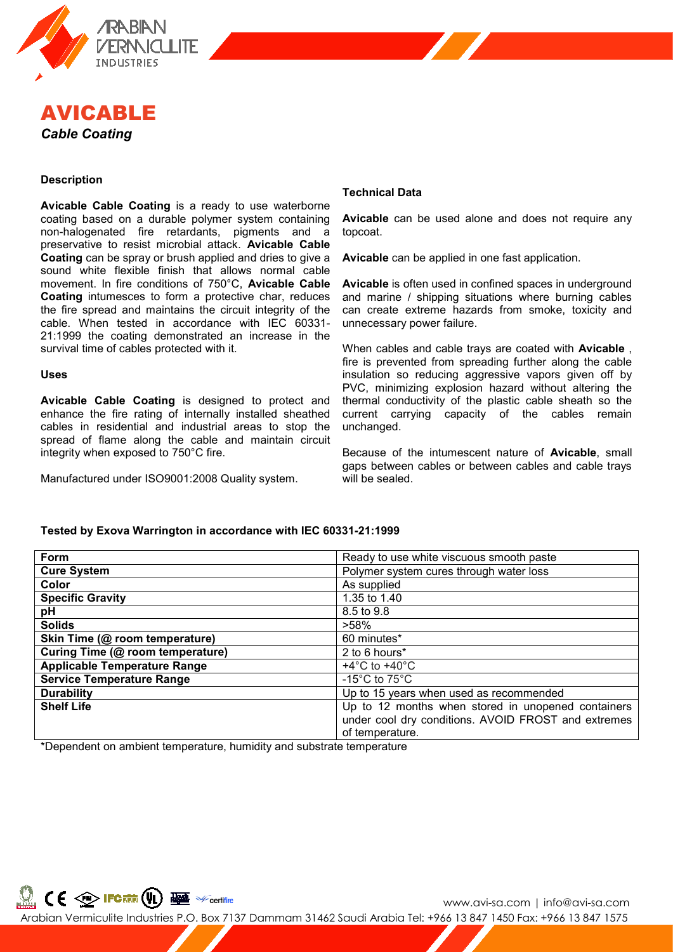



# **Description**

**Avicable Cable Coating** is a ready to use waterborne coating based on a durable polymer system containing non-halogenated fire retardants, pigments and a preservative to resist microbial attack. **Avicable Cable Coating** can be spray or brush applied and dries to give a sound white flexible finish that allows normal cable movement. In fire conditions of 750°C, **Avicable Cable Coating** intumesces to form a protective char, reduces the fire spread and maintains the circuit integrity of the cable. When tested in accordance with IEC 60331- 21:1999 the coating demonstrated an increase in the survival time of cables protected with it.

### **Uses**

**Avicable Cable Coating** is designed to protect and enhance the fire rating of internally installed sheathed cables in residential and industrial areas to stop the spread of flame along the cable and maintain circuit integrity when exposed to 750°C fire.

Manufactured under ISO9001:2008 Quality system.

## **Technical Data**

**Avicable** can be used alone and does not require any topcoat.

**Avicable** can be applied in one fast application.

**Avicable** is often used in confined spaces in underground and marine / shipping situations where burning cables can create extreme hazards from smoke, toxicity and unnecessary power failure.

When cables and cable trays are coated with **Avicable** , fire is prevented from spreading further along the cable insulation so reducing aggressive vapors given off by PVC, minimizing explosion hazard without altering the thermal conductivity of the plastic cable sheath so the current carrying capacity of the cables remain unchanged.

Because of the intumescent nature of **Avicable**, small gaps between cables or between cables and cable trays will be sealed.

## **Tested by Exova Warrington in accordance with IEC 60331-21:1999**

| Form                                | Ready to use white viscuous smooth paste            |
|-------------------------------------|-----------------------------------------------------|
| <b>Cure System</b>                  | Polymer system cures through water loss             |
| Color                               | As supplied                                         |
| <b>Specific Gravity</b>             | 1.35 to 1.40                                        |
| рH                                  | 8.5 to 9.8                                          |
| <b>Solids</b>                       | $>58\%$                                             |
| Skin Time (@ room temperature)      | 60 minutes*                                         |
| Curing Time (@ room temperature)    | 2 to 6 hours*                                       |
| <b>Applicable Temperature Range</b> | $+4^{\circ}$ C to $+40^{\circ}$ C                   |
| <b>Service Temperature Range</b>    | -15 $^{\circ}$ C to 75 $^{\circ}$ C                 |
| <b>Durability</b>                   | Up to 15 years when used as recommended             |
| <b>Shelf Life</b>                   | Up to 12 months when stored in unopened containers  |
|                                     | under cool dry conditions. AVOID FROST and extremes |
|                                     | of temperature.                                     |

\*Dependent on ambient temperature, humidity and substrate temperature



www.avi-sa.com | info@avi-sa.com Arabian Vermiculite Industries P.O. Box 7137 Dammam 31462 Saudi Arabia Tel: +966 13 847 1450 Fax: +966 13 847 1575